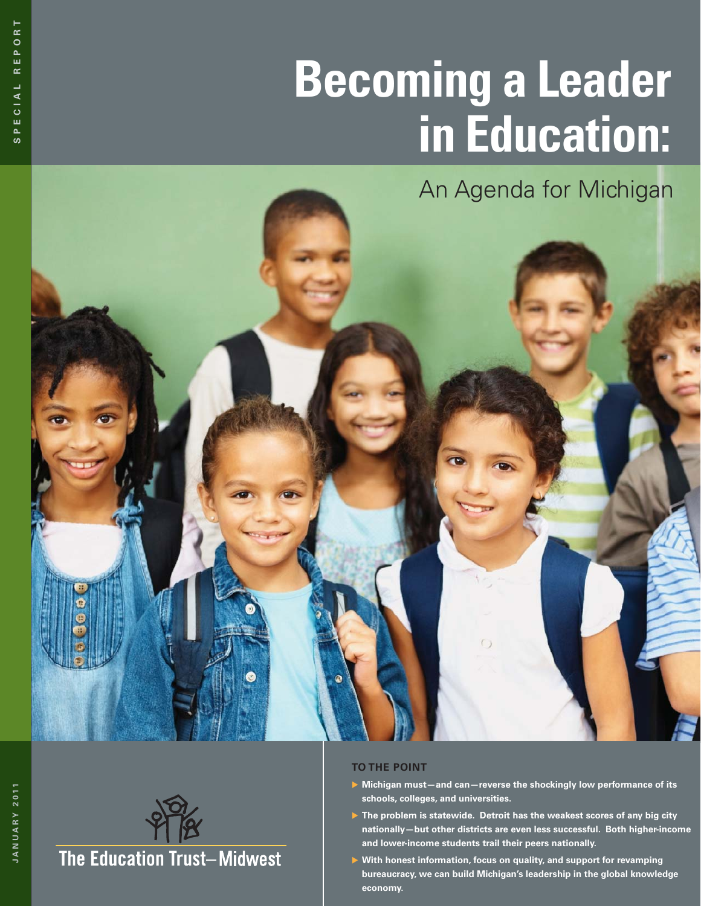# **Becoming a Leader in Education:**

An Agenda for Michigan



- ▶ Michigan must-and can-reverse the shockingly low performance of its **schools, colleges, and universities.**
- ▶ The problem is statewide. Detroit has the weakest scores of any big city **nationally—but other districts are even less successful. Both higher-income and lower-income students trail their peers nationally.**
- ▶ With honest information, focus on quality, and support for revamping **bureaucracy, we can build Michigan's leadership in the global knowledge economy.**

**JANUARY 2011**

JANUARY 2011

**The Education Trust-Midwest**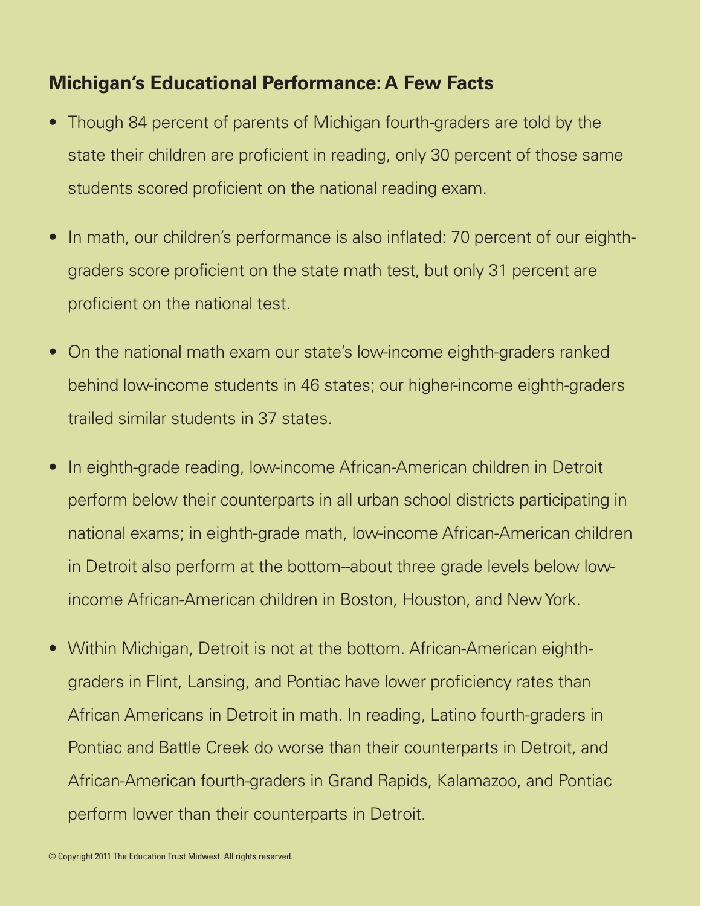### **Michigan's Educational Performance: A Few Facts**

- Though 84 percent of parents of Michigan fourth-graders are told by the state their children are proficient in reading, only 30 percent of those same students scored proficient on the national reading exam.
- In math, our children's performance is also inflated: 70 percent of our eighthgraders score proficient on the state math test, but only 31 percent are proficient on the national test.
- On the national math exam our state's low-income eighth-graders ranked behind low-income students in 46 states; our higher-income eighth-graders trailed similar students in 37 states.
- In eighth-grade reading, low-income African-American children in Detroit perform below their counterparts in all urban school districts participating in national exams; in eighth-grade math, low-income African-American children in Detroit also perform at the bottom--about three grade levels below lowincome African-American children in Boston, Houston, and New York.
- Within Michigan, Detroit is not at the bottom. African-American eighthgraders in Flint, Lansing, and Pontiac have lower proficiency rates than African Americans in Detroit in math. In reading, Latino fourth-graders in Pontiac and Battle Creek do worse than their counterparts in Detroit, and African-American fourth-graders in Grand Rapids, Kalamazoo, and Pontiac perform lower than their counterparts in Detroit.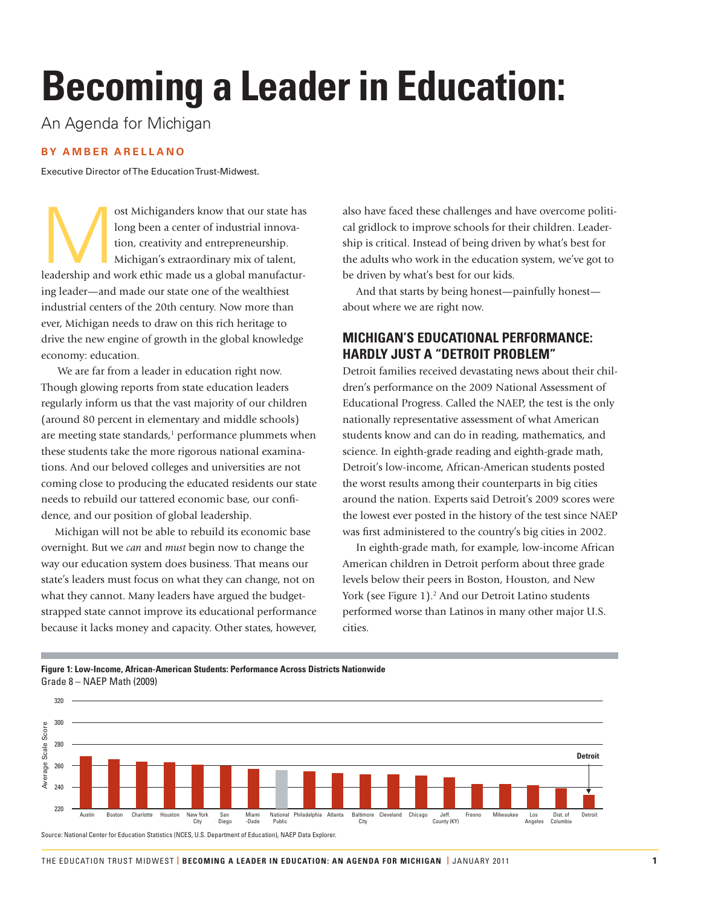## **Becoming a Leader in Education:**

An Agenda for Michigan

#### **BY AMBER ARELLANO**

Executive Director of The Education Trust-Midwest.

ost Michiganders know that our state has<br>
long been a center of industrial innova-<br>
tion, creativity and entrepreneurship.<br>
Michigan's extraordinary mix of talent,<br>
leadership and work ethic made us a global manufacturlong been a center of industrial innovation, creativity and entrepreneurship. Michigan's extraordinary mix of talent, ing leader—and made our state one of the wealthiest industrial centers of the 20th century. Now more than ever, Michigan needs to draw on this rich heritage to drive the new engine of growth in the global knowledge economy: education.

 We are far from a leader in education right now. Though glowing reports from state education leaders regularly inform us that the vast majority of our children (around 80 percent in elementary and middle schools) are meeting state standards, $1$  performance plummets when these students take the more rigorous national examinations. And our beloved colleges and universities are not coming close to producing the educated residents our state needs to rebuild our tattered economic base, our confidence, and our position of global leadership.

Michigan will not be able to rebuild its economic base overnight. But we *can* and *must* begin now to change the way our education system does business. That means our state's leaders must focus on what they can change, not on what they cannot. Many leaders have argued the budgetstrapped state cannot improve its educational performance because it lacks money and capacity. Other states, however,

also have faced these challenges and have overcome political gridlock to improve schools for their children. Leadership is critical. Instead of being driven by what's best for the adults who work in the education system, we've got to be driven by what's best for our kids.

And that starts by being honest—painfully honest about where we are right now.

#### **MICHIGAN'S EDUCATIONAL PERFORMANCE: HARDLY JUST A "DETROIT PROBLEM"**

Detroit families received devastating news about their children's performance on the 2009 National Assessment of Educational Progress. Called the NAEP, the test is the only nationally representative assessment of what American students know and can do in reading, mathematics, and science. In eighth-grade reading and eighth-grade math, Detroit's low-income, African-American students posted the worst results among their counterparts in big cities around the nation. Experts said Detroit's 2009 scores were the lowest ever posted in the history of the test since NAEP was first administered to the country's big cities in 2002.

In eighth-grade math, for example, low-income African American children in Detroit perform about three grade levels below their peers in Boston, Houston, and New York (see Figure 1).<sup>2</sup> And our Detroit Latino students performed worse than Latinos in many other major U.S. cities.

#### **Figure 1: Low-Income, African-American Students: Performance Across Districts Nationwide** Grade 8 – NAEP Math (2009)



Source: National Center for Education Statistics (NCES, U.S. Department of Education), NAEP Data Explorer.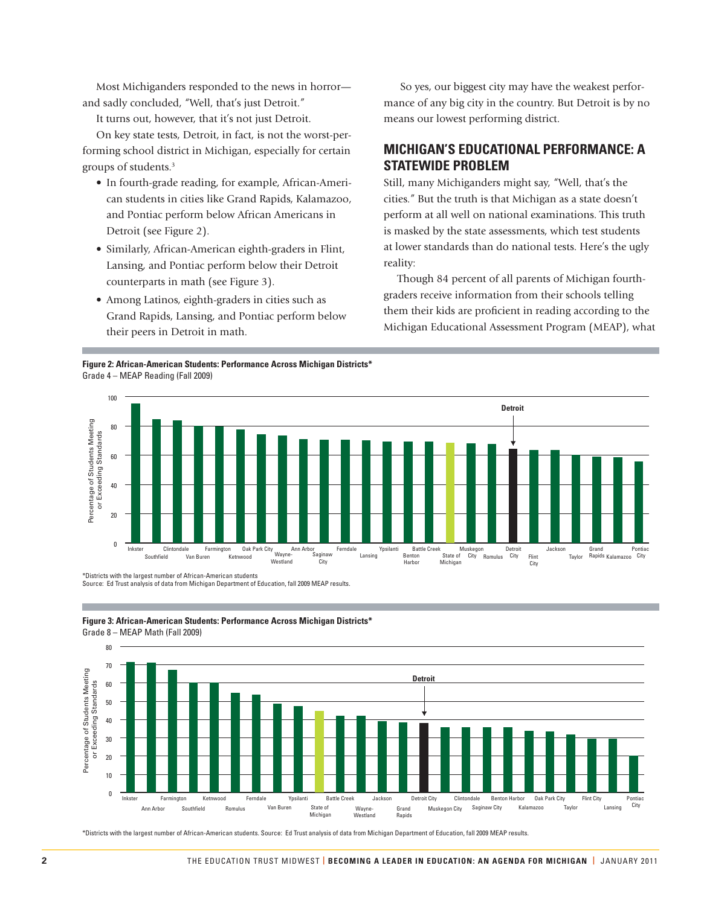Most Michiganders responded to the news in horror and sadly concluded, "Well, that's just Detroit."

It turns out, however, that it's not just Detroit.

On key state tests, Detroit, in fact, is not the worst-performing school district in Michigan, especially for certain groups of students.3

- In fourth-grade reading, for example, African-American students in cities like Grand Rapids, Kalamazoo, and Pontiac perform below African Americans in Detroit (see Figure 2).
- Similarly, African-American eighth-graders in Flint, Lansing, and Pontiac perform below their Detroit counterparts in math (see Figure 3).
- Among Latinos, eighth-graders in cities such as Grand Rapids, Lansing, and Pontiac perform below their peers in Detroit in math.

**Figure 2: African-American Students: Performance Across Michigan Districts\*** Grade 4 – MEAP Reading (Fall 2009)

 So yes, our biggest city may have the weakest performance of any big city in the country. But Detroit is by no means our lowest performing district.

#### **MICHIGAN'S EDUCATIONAL PERFORMANCE: A STATEWIDE PROBLEM**

Still, many Michiganders might say, "Well, that's the cities." But the truth is that Michigan as a state doesn't perform at all well on national examinations. This truth is masked by the state assessments, which test students at lower standards than do national tests. Here's the ugly reality:

Though 84 percent of all parents of Michigan fourthgraders receive information from their schools telling them their kids are proficient in reading according to the Michigan Educational Assessment Program (MEAP), what



\*Districts with the largest number of African-American students Source: Ed Trust analysis of data from Michigan Department of Education, fall 2009 MEAP results.

**Figure 3: African-American Students: Performance Across Michigan Districts\*** Grade 8 – MEAP Math (Fall 2009)



\*Districts with the largest number of African-American students. Source: Ed Trust analysis of data from Michigan Department of Education, fall 2009 MEAP results.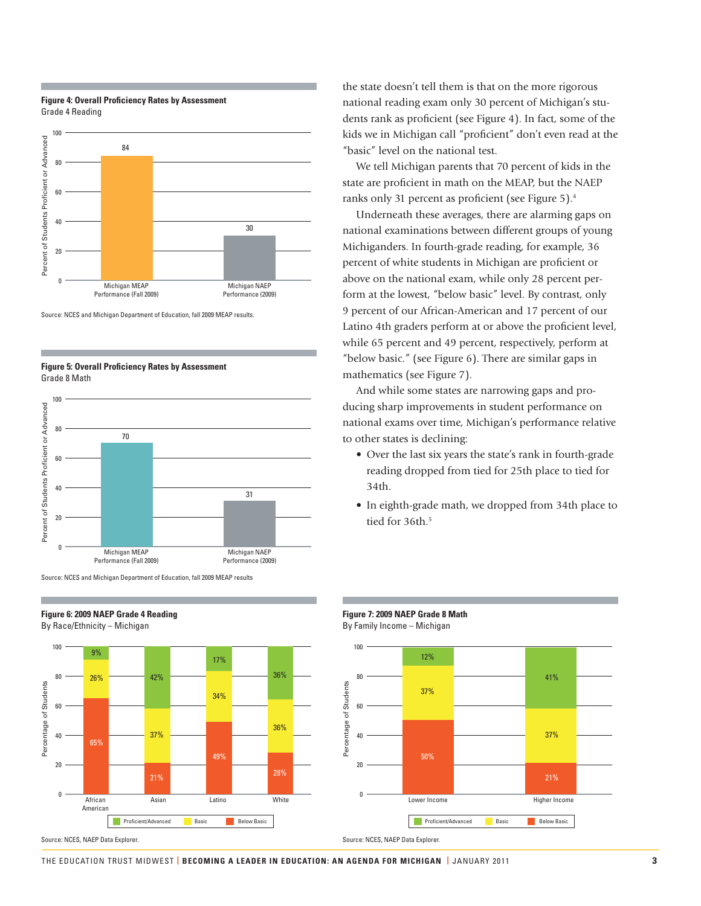#### **Figure 4: Overall Proficiency Rates by Assessment** Grade 4 Reading



Source: NCES and Michigan Department of Education, fall 2009 MEAP results.

**Figure 5: Overall Proficiency Rates by Assessment** Grade 8 Math



Source: NCES and Michigan Department of Education, fall 2009 MEAP results

**Figure 6: 2009 NAEP Grade 4 Reading** By Race/Ethnicity – Michigan

 $100 - 9%$ 17% 36% 80 42% 26% Percentage of Students Percentage of Students 34% 60 36% 37% 40 65% 49%  $20$ 28% 21% o and a material control of the control of the control of the control of the control of the control of the control of the control of the control of the control of the control of the control of the control of the control of **African** American Proficient/Advanced Basic Below Basic

Source: NCES, NAEP Data Explorer.

the state doesn't tell them is that on the more rigorous national reading exam only 30 percent of Michigan's students rank as proficient (see Figure 4). In fact, some of the kids we in Michigan call "proficient" don't even read at the "basic" level on the national test.

We tell Michigan parents that 70 percent of kids in the state are proficient in math on the MEAP, but the NAEP ranks only 31 percent as proficient (see Figure 5).<sup>4</sup>

Underneath these averages, there are alarming gaps on national examinations between different groups of young Michiganders. In fourth-grade reading, for example, 36 percent of white students in Michigan are proficient or above on the national exam, while only 28 percent perform at the lowest, "below basic" level. By contrast, only 9 percent of our African-American and 17 percent of our Latino 4th graders perform at or above the proficient level, while 65 percent and 49 percent, respectively, perform at "below basic." (see Figure 6). There are similar gaps in mathematics (see Figure 7).

And while some states are narrowing gaps and producing sharp improvements in student performance on national exams over time, Michigan's performance relative to other states is declining:

- Over the last six years the state's rank in fourth-grade reading dropped from tied for 25th place to tied for 34th.
- In eighth-grade math, we dropped from 34th place to tied for 36th.<sup>5</sup>

**Figure 7: 2009 NAEP Grade 8 Math** By Family Income – Michigan 100



#### THE EDUCATION TRUST MIDWEST **| BECOMING A LEADER IN EDUCATION: AN AGENDA FOR MICHIGAN |** JANUARY 2011 **3**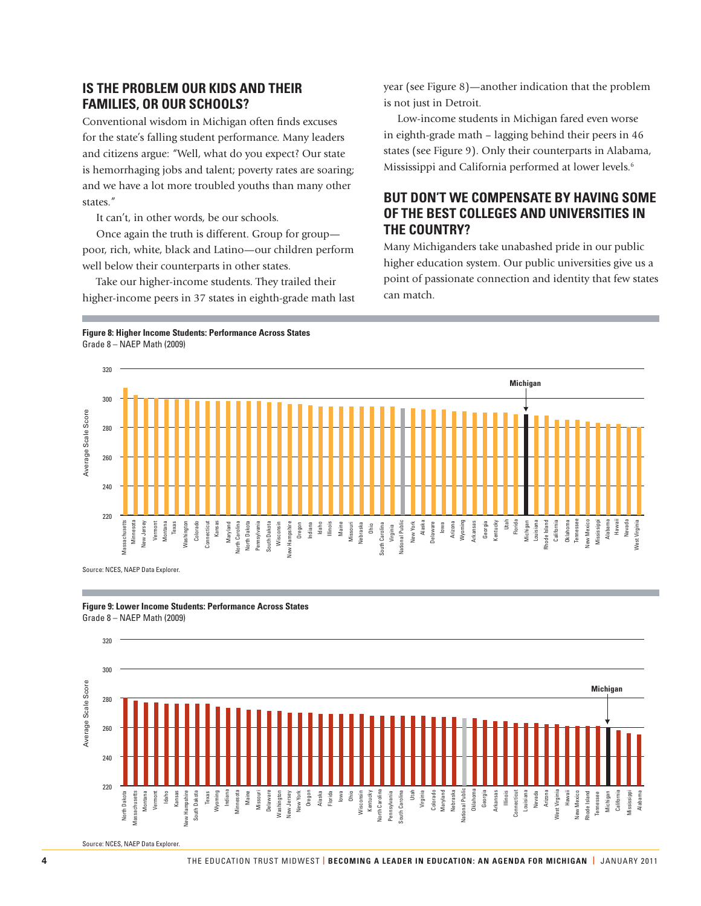#### **IS THE PROBLEM OUR KIDS AND THEIR FAMILIES, OR OUR SCHOOLS?**

Conventional wisdom in Michigan often finds excuses for the state's falling student performance. Many leaders and citizens argue: "Well, what do you expect? Our state is hemorrhaging jobs and talent; poverty rates are soaring; and we have a lot more troubled youths than many other states."

It can't, in other words, be our schools.

Once again the truth is different. Group for group poor, rich, white, black and Latino—our children perform well below their counterparts in other states.

Take our higher-income students. They trailed their higher-income peers in 37 states in eighth-grade math last year (see Figure 8)—another indication that the problem is not just in Detroit.

Low-income students in Michigan fared even worse in eighth-grade math – lagging behind their peers in 46 states (see Figure 9). Only their counterparts in Alabama, Mississippi and California performed at lower levels.<sup>6</sup>

#### **BUT DON'T WE COMPENSATE BY HAVING SOME OF THE BEST COLLEGES AND UNIVERSITIES IN THE COUNTRY?**

Many Michiganders take unabashed pride in our public higher education system. Our public universities give us a point of passionate connection and identity that few states can match.

**Figure 8: Higher Income Students: Performance Across States** Grade 8 – NAEP Math (2009)







Source: NCES, NAEP Data Explore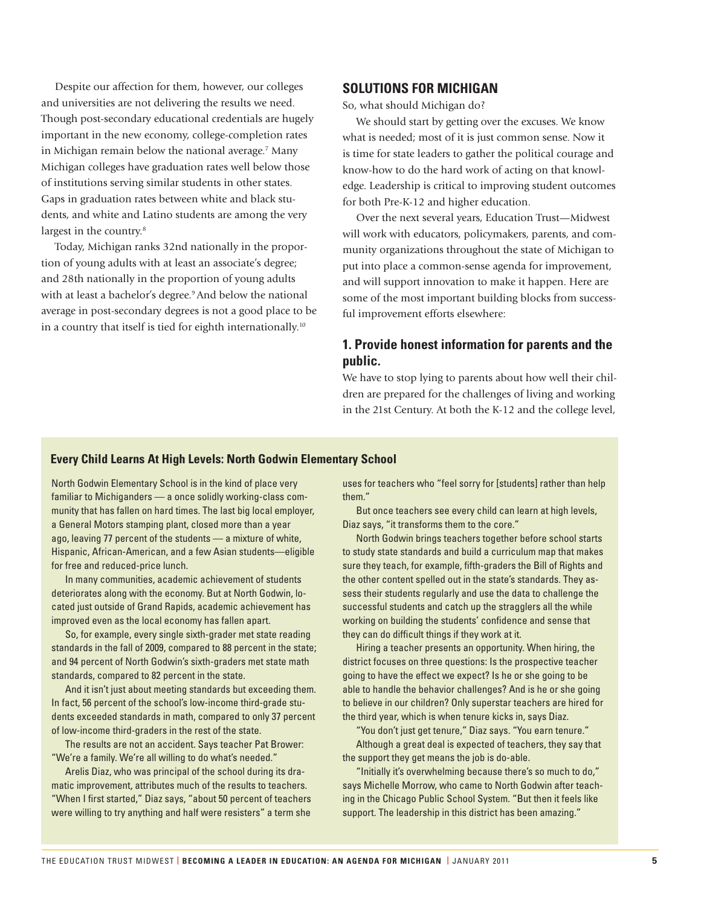Despite our affection for them, however, our colleges and universities are not delivering the results we need. Though post-secondary educational credentials are hugely important in the new economy, college-completion rates in Michigan remain below the national average.7 Many Michigan colleges have graduation rates well below those of institutions serving similar students in other states. Gaps in graduation rates between white and black students, and white and Latino students are among the very largest in the country.<sup>8</sup>

Today, Michigan ranks 32nd nationally in the proportion of young adults with at least an associate's degree; and 28th nationally in the proportion of young adults with at least a bachelor's degree.<sup>9</sup> And below the national average in post-secondary degrees is not a good place to be in a country that itself is tied for eighth internationally.<sup>10</sup>

#### **SOLUTIONS FOR MICHIGAN**

So, what should Michigan do?

We should start by getting over the excuses. We know what is needed; most of it is just common sense. Now it is time for state leaders to gather the political courage and know-how to do the hard work of acting on that knowledge. Leadership is critical to improving student outcomes for both Pre-K-12 and higher education.

Over the next several years, Education Trust—Midwest will work with educators, policymakers, parents, and community organizations throughout the state of Michigan to put into place a common-sense agenda for improvement, and will support innovation to make it happen. Here are some of the most important building blocks from successful improvement efforts elsewhere:

#### **1. Provide honest information for parents and the public.**

We have to stop lying to parents about how well their children are prepared for the challenges of living and working in the 21st Century. At both the K-12 and the college level,

#### **Every Child Learns At High Levels: North Godwin Elementary School**

North Godwin Elementary School is in the kind of place very familiar to Michiganders — a once solidly working-class community that has fallen on hard times. The last big local employer, a General Motors stamping plant, closed more than a year ago, leaving 77 percent of the students — a mixture of white, Hispanic, African-American, and a few Asian students—eligible for free and reduced-price lunch.

In many communities, academic achievement of students deteriorates along with the economy. But at North Godwin, located just outside of Grand Rapids, academic achievement has improved even as the local economy has fallen apart.

So, for example, every single sixth-grader met state reading standards in the fall of 2009, compared to 88 percent in the state; and 94 percent of North Godwin's sixth-graders met state math standards, compared to 82 percent in the state.

And it isn't just about meeting standards but exceeding them. In fact, 56 percent of the school's low-income third-grade students exceeded standards in math, compared to only 37 percent of low-income third-graders in the rest of the state.

The results are not an accident. Says teacher Pat Brower: "We're a family. We're all willing to do what's needed."

Arelis Diaz, who was principal of the school during its dramatic improvement, attributes much of the results to teachers. "When I first started," Diaz says, "about 50 percent of teachers were willing to try anything and half were resisters" a term she

uses for teachers who "feel sorry for [students] rather than help them."

But once teachers see every child can learn at high levels, Diaz says, "it transforms them to the core."

North Godwin brings teachers together before school starts to study state standards and build a curriculum map that makes sure they teach, for example, fifth-graders the Bill of Rights and the other content spelled out in the state's standards. They assess their students regularly and use the data to challenge the successful students and catch up the stragglers all the while working on building the students' confidence and sense that they can do difficult things if they work at it.

Hiring a teacher presents an opportunity. When hiring, the district focuses on three questions: Is the prospective teacher going to have the effect we expect? Is he or she going to be able to handle the behavior challenges? And is he or she going to believe in our children? Only superstar teachers are hired for the third year, which is when tenure kicks in, says Diaz.

"You don't just get tenure," Diaz says. "You earn tenure." Although a great deal is expected of teachers, they say that the support they get means the job is do-able.

"Initially it's overwhelming because there's so much to do," says Michelle Morrow, who came to North Godwin after teaching in the Chicago Public School System. "But then it feels like support. The leadership in this district has been amazing."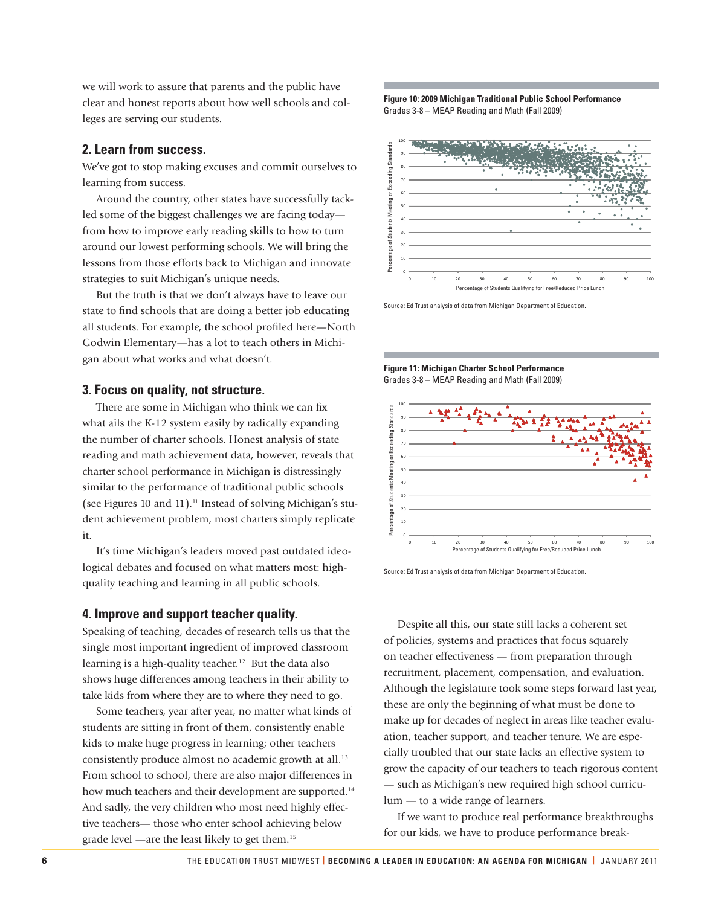we will work to assure that parents and the public have clear and honest reports about how well schools and colleges are serving our students.

#### **2. Learn from success.**

We've got to stop making excuses and commit ourselves to learning from success.

Around the country, other states have successfully tackled some of the biggest challenges we are facing today from how to improve early reading skills to how to turn around our lowest performing schools. We will bring the lessons from those efforts back to Michigan and innovate strategies to suit Michigan's unique needs.

But the truth is that we don't always have to leave our state to find schools that are doing a better job educating all students. For example, the school profiled here-North Godwin Elementary—has a lot to teach others in Michigan about what works and what doesn't.

#### **3. Focus on quality, not structure.**

There are some in Michigan who think we can fix what ails the K-12 system easily by radically expanding the number of charter schools. Honest analysis of state reading and math achievement data, however, reveals that charter school performance in Michigan is distressingly similar to the performance of traditional public schools (see Figures 10 and 11).<sup>11</sup> Instead of solving Michigan's student achievement problem, most charters simply replicate it.

It's time Michigan's leaders moved past outdated ideological debates and focused on what matters most: highquality teaching and learning in all public schools.

#### **4. Improve and support teacher quality.**

Speaking of teaching, decades of research tells us that the single most important ingredient of improved classroom learning is a high-quality teacher.<sup>12</sup> But the data also shows huge differences among teachers in their ability to take kids from where they are to where they need to go.

Some teachers, year after year, no matter what kinds of students are sitting in front of them, consistently enable kids to make huge progress in learning; other teachers consistently produce almost no academic growth at all.<sup>13</sup> From school to school, there are also major differences in how much teachers and their development are supported.<sup>14</sup> And sadly, the very children who most need highly effective teachers— those who enter school achieving below grade level —are the least likely to get them.15

**Figure 10: 2009 Michigan Traditional Public School Performance** Grades 3-8 – MEAP Reading and Math (Fall 2009)



Source: Ed Trust analysis of data from Michigan Department of Education.

**Figure 11: Michigan Charter School Performance** Grades 3-8 – MEAP Reading and Math (Fall 2009)



Source: Ed Trust analysis of data from Michigan Department of Education.

Despite all this, our state still lacks a coherent set of policies, systems and practices that focus squarely on teacher effectiveness — from preparation through recruitment, placement, compensation, and evaluation. Although the legislature took some steps forward last year, these are only the beginning of what must be done to make up for decades of neglect in areas like teacher evaluation, teacher support, and teacher tenure. We are especially troubled that our state lacks an effective system to grow the capacity of our teachers to teach rigorous content — such as Michigan's new required high school curriculum — to a wide range of learners. For our kids, we have to produce performance break-<br>  $\frac{1}{2}$  and  $\frac{1}{2}$  and  $\frac{1}{2}$  and  $\frac{1}{2}$  and  $\frac{1}{2}$  and  $\frac{1}{2}$  and  $\frac{1}{2}$  and  $\frac{1}{2}$  and  $\frac{1}{2}$  and  $\frac{1}{2}$  and  $\frac{1}{2}$  and  $\frac{1}{2}$  and

If we want to produce real performance breakthroughs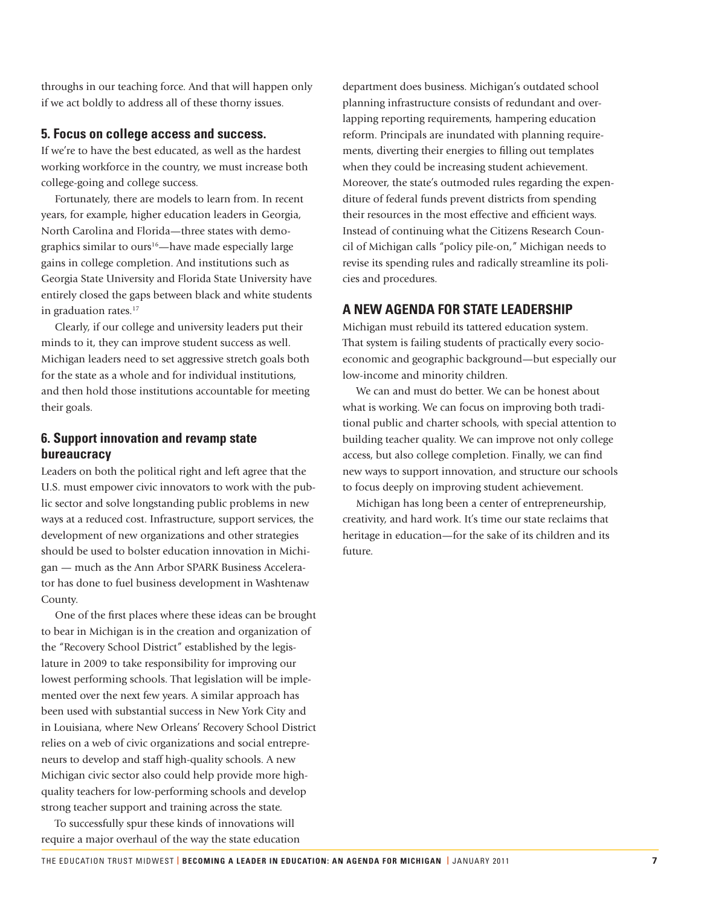throughs in our teaching force. And that will happen only if we act boldly to address all of these thorny issues.

#### **5. Focus on college access and success.**

If we're to have the best educated, as well as the hardest working workforce in the country, we must increase both college-going and college success.

Fortunately, there are models to learn from. In recent years, for example, higher education leaders in Georgia, North Carolina and Florida—three states with demographics similar to ours<sup>16</sup>—have made especially large gains in college completion. And institutions such as Georgia State University and Florida State University have entirely closed the gaps between black and white students in graduation rates.<sup>17</sup>

Clearly, if our college and university leaders put their minds to it, they can improve student success as well. Michigan leaders need to set aggressive stretch goals both for the state as a whole and for individual institutions, and then hold those institutions accountable for meeting their goals.

#### **6. Support innovation and revamp state bureaucracy**

Leaders on both the political right and left agree that the U.S. must empower civic innovators to work with the public sector and solve longstanding public problems in new ways at a reduced cost. Infrastructure, support services, the development of new organizations and other strategies should be used to bolster education innovation in Michigan — much as the Ann Arbor SPARK Business Accelerator has done to fuel business development in Washtenaw County.

One of the first places where these ideas can be brought to bear in Michigan is in the creation and organization of the "Recovery School District" established by the legislature in 2009 to take responsibility for improving our lowest performing schools. That legislation will be implemented over the next few years. A similar approach has been used with substantial success in New York City and in Louisiana, where New Orleans' Recovery School District relies on a web of civic organizations and social entrepreneurs to develop and staff high-quality schools. A new Michigan civic sector also could help provide more highquality teachers for low-performing schools and develop strong teacher support and training across the state.

To successfully spur these kinds of innovations will require a major overhaul of the way the state education

department does business. Michigan's outdated school planning infrastructure consists of redundant and overlapping reporting requirements, hampering education reform. Principals are inundated with planning requirements, diverting their energies to filling out templates when they could be increasing student achievement. Moreover, the state's outmoded rules regarding the expenditure of federal funds prevent districts from spending their resources in the most effective and efficient ways. Instead of continuing what the Citizens Research Council of Michigan calls "policy pile-on," Michigan needs to revise its spending rules and radically streamline its policies and procedures.

#### **A NEW AGENDA FOR STATE LEADERSHIP**

Michigan must rebuild its tattered education system. That system is failing students of practically every socioeconomic and geographic background—but especially our low-income and minority children.

We can and must do better. We can be honest about what is working. We can focus on improving both traditional public and charter schools, with special attention to building teacher quality. We can improve not only college access, but also college completion. Finally, we can find new ways to support innovation, and structure our schools to focus deeply on improving student achievement.

Michigan has long been a center of entrepreneurship, creativity, and hard work. It's time our state reclaims that heritage in education—for the sake of its children and its future.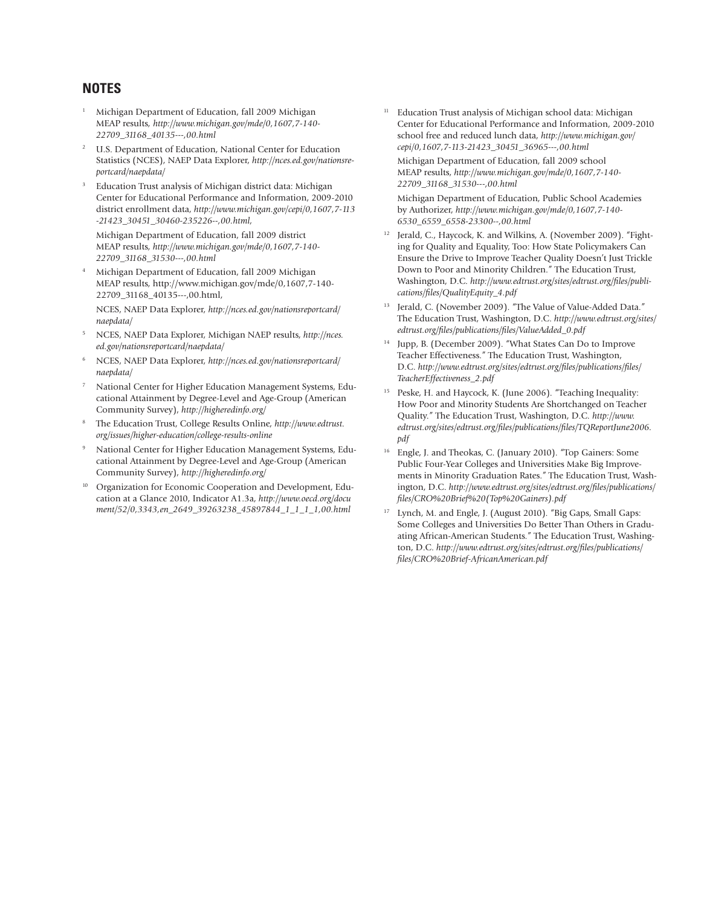#### **NOTES**

- 1 Michigan Department of Education, fall 2009 Michigan MEAP results, *http://www.michigan.gov/mde/0,1607,7-140- 22709\_31168\_40135---,00.html*
- <sup>2</sup> U.S. Department of Education, National Center for Education Statistics (NCES), NAEP Data Explorer, *http://nces.ed.gov/nationsreportcard/naepdata/*
- 3 Education Trust analysis of Michigan district data: Michigan Center for Educational Performance and Information, 2009-2010 district enrollment data, *http://www.michigan.gov/cepi/0,1607,7-113 -21423\_30451\_30460-235226--,00.html,*

 Michigan Department of Education, fall 2009 district MEAP results, *http://www.michigan.gov/mde/0,1607,7-140- 22709\_31168\_31530---,00.html*

4 Michigan Department of Education, fall 2009 Michigan MEAP results, http://www.michigan.gov/mde/0,1607,7-140- 22709\_31168\_40135---,00.html,

 NCES, NAEP Data Explorer, *http://nces.ed.gov/nationsreportcard/ naepdata/*

- 5 NCES, NAEP Data Explorer, Michigan NAEP results, *http://nces. ed.gov/nationsreportcard/naepdata/*
- 6 NCES, NAEP Data Explorer, *http://nces.ed.gov/nationsreportcard/ naepdata/*
- 7 National Center for Higher Education Management Systems, Educational Attainment by Degree-Level and Age-Group (American Community Survey), *http://higheredinfo.org/*
- 8 The Education Trust, College Results Online, *http://www.edtrust. org/issues/higher-education/college-results-online*
- 9 National Center for Higher Education Management Systems, Educational Attainment by Degree-Level and Age-Group (American Community Survey), *http://higheredinfo.org/*
- <sup>10</sup> Organization for Economic Cooperation and Development, Education at a Glance 2010, Indicator A1.3a, *http://www.oecd.org/docu ment/52/0,3343,en\_2649\_39263238\_45897844\_1\_1\_1\_1,00.html*

Education Trust analysis of Michigan school data: Michigan Center for Educational Performance and Information, 2009-2010 school free and reduced lunch data, *http://www.michigan.gov/ cepi/0,1607,7-113-21423\_30451\_36965---,00.html*

 Michigan Department of Education, fall 2009 school MEAP results, *http://www.michigan.gov/mde/0,1607,7-140- 22709\_31168\_31530---,00.html*

 Michigan Department of Education, Public School Academies by Authorizer, *http://www.michigan.gov/mde/0,1607,7-140- 6530\_6559\_6558-23300--,00.html*

- Jerald, C., Haycock, K. and Wilkins, A. (November 2009). "Fighting for Quality and Equality, Too: How State Policymakers Can Ensure the Drive to Improve Teacher Quality Doesn't Just Trickle Down to Poor and Minority Children." The Education Trust, Washington, D.C. *http://www.edtrust.org/sites/edtrust.org/fi les/publications/fi les/QualityEquity\_4.pdf*
- <sup>13</sup> Jerald, C. (November 2009). "The Value of Value-Added Data." The Education Trust, Washington, D.C. *http://www.edtrust.org/sites/ edtrust.org/fi les/publications/fi les/ValueAdded\_0.pdf*
- 14 Jupp, B. (December 2009). "What States Can Do to Improve Teacher Effectiveness." The Education Trust, Washington, D.C. http://www.edtrust.org/sites/edtrust.org/files/publications/files/ *TeacherEffectiveness\_2.pdf*
- 15 Peske, H. and Haycock, K. (June 2006). "Teaching Inequality: How Poor and Minority Students Are Shortchanged on Teacher Quality." The Education Trust, Washington, D.C. *http://www. edtrust.org/sites/edtrust.org/fi les/publications/fi les/TQReportJune2006. pdf*
- 16 Engle, J. and Theokas, C. (January 2010). "Top Gainers: Some Public Four-Year Colleges and Universities Make Big Improvements in Minority Graduation Rates." The Education Trust, Washington, D.C. *http://www.edtrust.org/sites/edtrust.org/fi les/publications/ fi les/CRO%20Brief%20(Top%20Gainers).pdf*
- <sup>17</sup> Lynch, M. and Engle, J. (August 2010). "Big Gaps, Small Gaps: Some Colleges and Universities Do Better Than Others in Graduating African-American Students." The Education Trust, Washington, D.C. *http://www.edtrust.org/sites/edtrust.org/fi les/publications/ fi les/CRO%20Brief-AfricanAmerican.pdf*